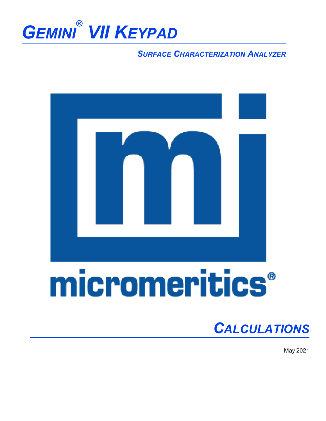

#### *SURFACE CHARACTERIZATION ANALYZER*



# micromeritics®

### *CALCULATIONS*

May 2021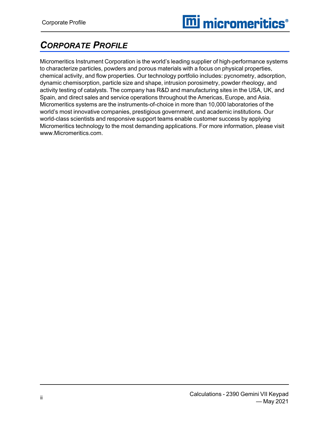#### <span id="page-1-0"></span>*CORPORATE PROFILE*

Micromeritics Instrument Corporation is the world's leading supplier of high-performance systems to characterize particles, powders and porous materials with a focus on physical properties, chemical activity, and flow properties. Our technology portfolio includes: pycnometry, adsorption, dynamic chemisorption, particle size and shape, intrusion porosimetry, powder rheology, and activity testing of catalysts. The company has R&D and manufacturing sites in the USA, UK, and Spain, and direct sales and service operations throughout the Americas, Europe, and Asia. Micromeritics systems are the instruments-of-choice in more than 10,000 laboratories of the world's most innovative companies, prestigious government, and academic institutions. Our world-class scientists and responsive support teams enable customer success by applying Micromeritics technology to the most demanding applications. For more information, please visit www.Micromeritics.com.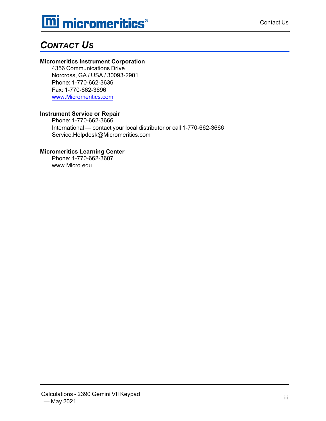### **mi** micromeritics<sup>®</sup>

#### <span id="page-2-0"></span>*CONTACT US*

#### **Micromeritics Instrument Corporation**

4356 Communications Drive Norcross, GA / USA / 30093-2901 Phone: 1-770-662-3636 Fax: 1-770-662-3696 [www.Micromeritics.com](http://www.micromeritics.com/)

#### **Instrument Service or Repair**

Phone: 1-770-662-3666 International — contact your local distributor or call 1-770-662-3666 Service.Helpdesk@Micromeritics.com

#### **Micromeritics Learning Center**

Phone: 1-770-662-3607 www.Micro.edu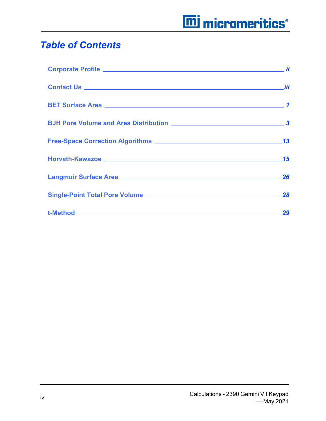### **mi** micromeritics<sup>®</sup>

#### *Table of Contents*

| Horvath-Kawazoe 2008 2009 2010 2020 2020 2031 2040 2050 2060 2071 2080 2091 2092 2093 2094 2096 2097 2098 209 |  |
|---------------------------------------------------------------------------------------------------------------|--|
| Langmuir Surface Area 26                                                                                      |  |
|                                                                                                               |  |
|                                                                                                               |  |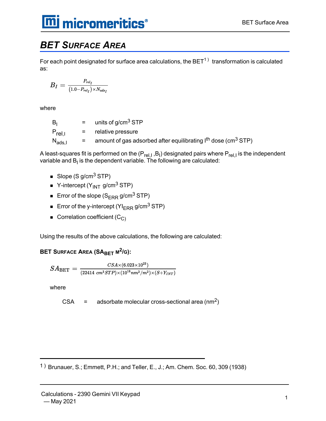#### <span id="page-4-0"></span>*BET SURFACE AREA*

For each point designated for surface area calculations, the  $\mathsf{BET}^{1)}\;$  transformation is calculated as:

$$
B_I = \tfrac{P_{rel_I}}{(1.0-P_{rel_I})\times N_{ads_I}}
$$

where

 $B_1$  = units of g/cm<sup>3</sup> STP  $P_{\text{rel }I}$  = relative pressure  $\rm N_{ads,l} \quad \quad = \quad \quad$  amount of gas adsorbed after equilibrating I<sup>th</sup> dose (cm $^3$  STP)

A least-squares fit is performed on the (P<sub>rel,I</sub> ,B<sub>I</sub>) designated pairs where P<sub>rel,I</sub> is the independent variable and  $\mathsf{B}_\mathsf{I}$  is the dependent variable. The following are calculated:

- Slope (S  $q/cm<sup>3</sup>$  STP)
- $\blacksquare$  Y-intercept (Y<sub>INT</sub> g/cm<sup>3</sup> STP)
- Error of the slope  $(S_{\text{FRR}} g/cm^3$  STP)
- **Error of the y-intercept (YI<sub>ERR</sub> g/cm<sup>3</sup> STP)**
- $\blacksquare$  Correlation coefficient (C<sub>C)</sub>

Using the results of the above calculations, the following are calculated:

**BET SURFACE AREA (SABET <sup>M</sup> 2 /G):**

$$
SA_{\textrm{BET}}=\tfrac{CSA\times (6.023\times 10^{23})}{(22414\;cm^3STP)\times (10^{18}nm^2/m^2)\times (S+Y_{INT})}
$$

where

$$
CSA = adsorbate molecular cross-sectional area (nm2)
$$

1 ) Brunauer, S.; Emmett, P.H.; and Teller, E., J.; Am. Chem. Soc. 60, 309 (1938)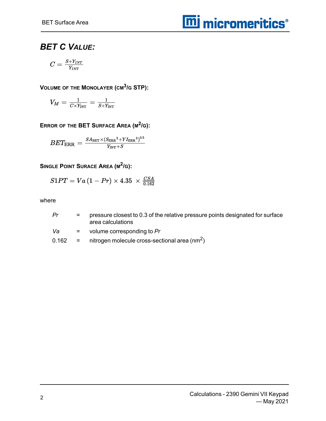#### *BET C VALUE:*

$$
C = \tfrac{S + Y_{INT}}{Y_{INT}}
$$

**VOLUME OF THE MONOLAYER (CM<sup>3</sup> /G STP):**

$$
V_M = \tfrac{1}{C \times Y_{\text{INT}}} = \tfrac{1}{S + Y_{\text{INT}}}
$$

**ERROR OF THE BET SURFACE AREA (M 2 /G):**

$$
BET_{\text{ERR}}=\tfrac{S A_{\text{BET}} \times \left(S_{\text{ERR}}{}^2 + Y I_{\text{ERR}}{}^2\right)^{0.5}}{Y_{\text{INT}}+S}
$$

**SINGLE POINT SURACE AREA (M 2 /G):**

$$
S1PT=Va\left(1-Pr\right)\times4.35\ \times\tfrac{CSA}{0.162}
$$

where

| Pr    | $=$      | pressure closest to 0.3 of the relative pressure points designated for surface<br>area calculations |
|-------|----------|-----------------------------------------------------------------------------------------------------|
| Va    |          | $=$ volume corresponding to Pr                                                                      |
| 0.162 | $\equiv$ | nitrogen molecule cross-sectional area $\text{(nm}^2)$                                              |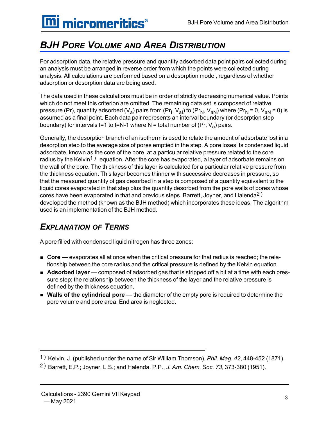# **m** micromeritics<sup>®</sup>

### <span id="page-6-0"></span>*BJH PORE VOLUME AND AREA DISTRIBUTION*

For adsorption data, the relative pressure and quantity adsorbed data point pairs collected during an analysis must be arranged in reverse order from which the points were collected during analysis. All calculations are performed based on a desorption model, regardless of whether adsorption or desorption data are being used.

The data used in these calculations must be in order of strictly decreasing numerical value. Points which do not meet this criterion are omitted. The remaining data set is composed of relative pressure (Pr), quantity adsorbed (V<sub>a</sub>) pairs from (Pr<sub>I</sub>, V<sub>aI</sub>) to (Pr<sub>N</sub>, V<sub>aN</sub>) where (Pr<sub>N</sub> = 0, V<sub>aN</sub> = 0) is assumed as a final point. Each data pair represents an interval boundary (or desorption step boundary) for intervals I=1 to I=N-1 where N = total number of (Pr, V<sub>a</sub>) pairs.

Generally, the desorption branch of an isotherm is used to relate the amount of adsorbate lost in a desorption step to the average size of pores emptied in the step. A pore loses its condensed liquid adsorbate, known as the core of the pore, at a particular relative pressure related to the core radius by the Kelvin<sup>1</sup>) equation. After the core has evaporated, a layer of adsorbate remains on the wall of the pore. The thickness of this layer is calculated for a particular relative pressure from the thickness equation. This layer becomes thinner with successive decreases in pressure, so that the measured quantity of gas desorbed in a step is composed of a quantity equivalent to the liquid cores evaporated in that step plus the quantity desorbed from the pore walls of pores whose cores have been evaporated in that and previous steps. Barrett, Joyner, and Halenda<sup>2</sup>) developed the method (known as the BJH method) which incorporates these ideas. The algorithm used is an implementation of the BJH method.

#### *EXPLANATION OF TERMS*

A pore filled with condensed liquid nitrogen has three zones:

- Core evaporates all at once when the critical pressure for that radius is reached; the relationship between the core radius and the critical pressure is defined by the Kelvin equation.
- **Adsorbed layer** composed of adsorbed gas that is stripped off a bit at a time with each pressure step; the relationship between the thickness of the layer and the relative pressure is defined by the thickness equation.
- **Nalls of the cylindrical pore** the diameter of the empty pore is required to determine the pore volume and pore area. End area is neglected.

<sup>1</sup> ) Kelvin, J. (published under the name of Sir William Thomson), *Phil. Mag. 42*, 448-452 (1871).

<sup>2</sup> ) Barrett, E.P.; Joyner, L.S.; and Halenda, P.P., *J. Am. Chem. Soc. 73*, 373-380 (1951).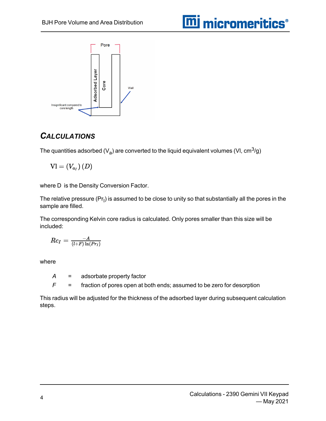

#### *CALCULATIONS*

The quantities adsorbed (V<sub>a</sub>) are converted to the liquid equivalent volumes (VI, cm $^3\!/\mathrm{g})$ 

$$
\text{VI} = (V_{a_I})\,(D)
$$

where D is the Density Conversion Factor.

The relative pressure (Pr<sub>I</sub>) is assumed to be close to unity so that substantially all the pores in the sample are filled.

The corresponding Kelvin core radius is calculated. Only pores smaller than this size will be included:

$$
Rc_I=\tfrac{-A}{(l+F)\ln(Pr_I)}
$$

where

*A* = adsorbate property factor

*F* = fraction of pores open at both ends; assumed to be zero for desorption

This radius will be adjusted for the thickness of the adsorbed layer during subsequent calculation steps.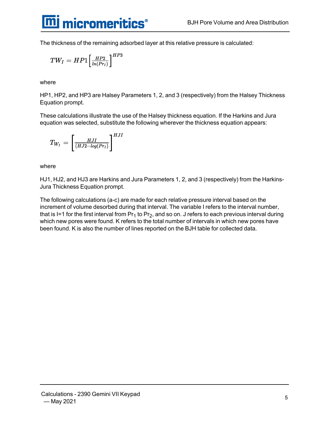

The thickness of the remaining adsorbed layer at this relative pressure is calculated:

$$
TW_I=HP1{\Big[}\frac{HP2}{ln(Pr_I)}{\Big]}^{HP3}
$$

where

HP1, HP2, and HP3 are Halsey Parameters 1, 2, and 3 (respectively) from the Halsey Thickness Equation prompt.

These calculations illustrate the use of the Halsey thickness equation. If the Harkins and Jura equation was selected, substitute the following wherever the thickness equation appears:

$$
T_{W_I}=\left[\tfrac{HJI}{(HJ2-log(Pr_I)}\right]^{HJI}
$$

where

HJ1, HJ2, and HJ3 are Harkins and Jura Parameters 1, 2, and 3 (respectively) from the Harkins-Jura Thickness Equation prompt.

The following calculations (a-c) are made for each relative pressure interval based on the increment of volume desorbed during that interval. The variable I refers to the interval number, that is I=1 for the first interval from Pr<sub>1</sub> to Pr<sub>2</sub>, and so on. J refers to each previous interval during which new pores were found. K refers to the total number of intervals in which new pores have been found. K is also the number of lines reported on the BJH table for collected data.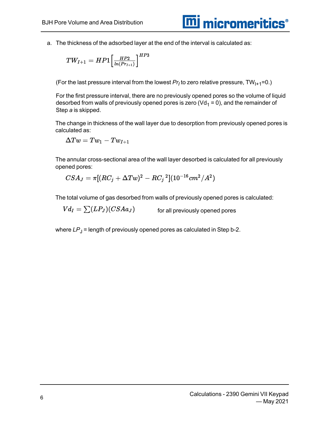a. The thickness of the adsorbed layer at the end of the interval is calculated as:

$$
TW_{I+1} = HP1\Big[\tfrac{HP2}{ln(Pr_{I+1})}\Big]^{HP3}
$$

(For the last pressure interval from the lowest  $Pr_{I}$  to zero relative pressure, TW<sub>I+1</sub>=0.)

For the first pressure interval, there are no previously opened pores so the volume of liquid desorbed from walls of previously opened pores is zero ( $Vd_1 = 0$ ), and the remainder of Step *a* is skipped.

The change in thickness of the wall layer due to desorption from previously opened pores is calculated as:

$$
\Delta Tw = Tw_1 - Tw_{I+1}
$$

The annular cross-sectional area of the wall layer desorbed is calculated for all previously opened pores:

$$
CSA_J=\pi[(RC_j+\Delta Tw)^2-RC_j{}^2](10^{-16}cm^2/A^2)
$$

The total volume of gas desorbed from walls of previously opened pores is calculated:

 $Vd_I = \sum (LP_J)(CSAa_J)$ 

for all previously opened pores

where  $LP_J$  = length of previously opened pores as calculated in Step b-2.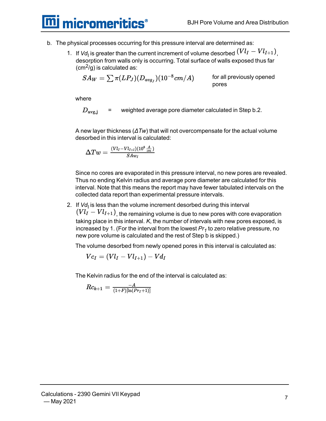**mi** micromeritics<sup>®</sup>

- b. The physical processes occurring for this pressure interval are determined as:
	- 1. If  $Vd<sub>l</sub>$  is greater than the current increment of volume desorbed  $(VlI VlI + 1)$ <sub>,</sub> desorption from walls only is occurring. Total surface of walls exposed thus far  $(cm<sup>2</sup>/q)$  is calculated as:

$$
SA_W = \sum \pi(LP_J)(D_{avg_J})(10^{-8}cm/A)
$$

for all previously opened pores

where

 $D_{\rm avg,i}$ = weighted average pore diameter calculated in Step b.2.

A new layer thickness (*ΔTw*) that will not overcompensate for the actual volume desorbed in this interval is calculated:

$$
\Delta Tw = \tfrac{(Vl_I - Vl_{I+l})(10^8 \tfrac{A}{cm})}{SAw_I}
$$

Since no cores are evaporated in this pressure interval, no new pores are revealed. Thus no ending Kelvin radius and average pore diameter are calculated for this interval. Note that this means the report may have fewer tabulated intervals on the collected data report than experimental pressure intervals.

2. If *Vd*<sub>I</sub> is less than the volume increment desorbed during this interval

 $(Vl_I - Vl_{I+1})$ <sub>, the remaining volume is due to new pores with core evaporation</sub> taking place in this interval. *K*, the number of intervals with new pores exposed, is increased by 1. (For the interval from the lowest *Pr<sup>1</sup>* to zero relative pressure, no new pore volume is calculated and the rest of Step b is skipped.)

The volume desorbed from newly opened pores in this interval is calculated as:

$$
\mathit{Vc}_I=(\mathit{Vl}_I-\mathit{Vl}_{I+1})-\mathit{Vd}_I
$$

The Kelvin radius for the end of the interval is calculated as:

$$
Rc_{k+1} = \tfrac{-A}{(1+F)[\ln(Pr_I + 1)]}
$$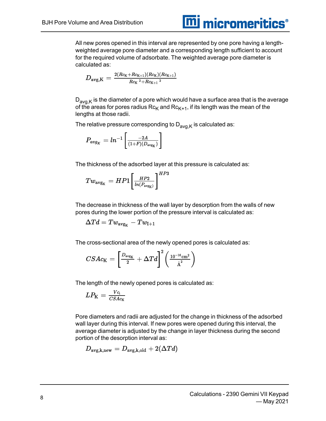#### All new pores opened in this interval are represented by one pore having a lengthweighted average pore diameter and a corresponding length sufficient to account for the required volume of adsorbate. The weighted average pore diameter is calculated as:

**m** micromeritics<sup>®</sup>

$$
D_{\text{avg,K}} = \tfrac{2(Rc_{\text{K}}+Rc_{\text{K}+1})(Rc_{\text{K}})(Rc_{\text{K}+1})}{Rc_{\text{K}}\ ^2+Rc_{\text{K}+1}\ ^2}
$$

 $D_{\text{av}a,K}$  is the diameter of a pore which would have a surface area that is the average of the areas for pores radius  $Rc_{K}$  and  $Rc_{K+1}$ , if its length was the mean of the lengths at those radii.

The relative pressure corresponding to  $D_{avg,K}$  is calculated as:

$$
P_{avg_K} = ln^{-1}\left[\frac{-2A}{(1+F)(D_{avg_K})}\right]
$$

The thickness of the adsorbed layer at this pressure is calculated as:

$$
Tw_{\text{avg}_\text{K}} = HP1 \bigg[ \frac{{\textit{HP2}}}{{\textit{In}(\textit{P}_{\text{avg}_\text{K}})}} \bigg]^{HP3}
$$

The decrease in thickness of the wall layer by desorption from the walls of new pores during the lower portion of the pressure interval is calculated as:

$$
\Delta Td = Tw_{\text{avg}_{K}} - Tw_{I+1}
$$

The cross-sectional area of the newly opened pores is calculated as:

$$
CSAc_{\text{K}}=\bigg[\tfrac{D_{\text{avg}_{\text{K}}}}{2}+\Delta Td\bigg]^2\bigg(\tfrac{10^{-16}\text{cm}^2}{\dot{\text{A}}^2}\bigg)
$$

The length of the newly opened pores is calculated as:

$$
LP_{K} = \frac{Vc_i}{CSAc_K}
$$

Pore diameters and radii are adjusted for the change in thickness of the adsorbed wall layer during this interval. If new pores were opened during this interval, the average diameter is adjusted by the change in layer thickness during the second portion of the desorption interval as:

$$
D_{\texttt{avg}, \texttt{k}, \text{new}} = D_{\texttt{avg}, \texttt{k}, \text{old}} + 2 (\Delta T d)
$$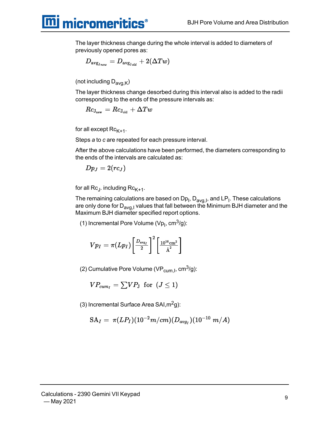**mi** micromeritics<sup>®</sup>

The layer thickness change during the whole interval is added to diameters of previously opened pores as:

$$
D_{\text{avg}_{\text{J}_\textit{new}}} = D_{\text{avg}_{\text{J}_\textit{old}}} + 2 (\Delta T w)
$$

(not including  $D_{\text{av}a,K}$ )

The layer thickness change desorbed during this interval also is added to the radii corresponding to the ends of the pressure intervals as:

$$
\overline{R}c_{\rm J_{new}}=Rc_{\rm J_{old}}+\Delta Tw
$$

for all except  $Rc_{K+1}$ .

Steps *a* to *c* are repeated for each pressure interval.

After the above calculations have been performed, the diameters corresponding to the ends of the intervals are calculated as:

$$
Dp_J=2(rc_J) \,
$$

for all Rc<sub>J</sub>. including Rc<sub>K+1</sub>.

The remaining calculations are based on Dp<sub>I</sub>, D<sub>avg,I</sub>, and LP<sub>I</sub>. These calculations are only done for  $D_{\text{avq},I}$  values that fall between the Minimum BJH diameter and the Maximum BJH diameter specified report options.

(1) Incremental Pore Volume (Vp<sub>I</sub>, cm $3$ /g):

$$
V p_I = \pi (L p_I) \bigg[\frac{D_{\text{avg}_I}}{2}\bigg]^2 \bigg[\frac{10^{16}\text{cm}^2}{\text{\AA}^2}\bigg]
$$

(2) Cumulative Pore Volume (VP<sub>cum, I</sub>, cm<sup>3</sup>/g):

$$
VP_{cum_I} = \textstyle \sum VP_{\text{J}} \ \ \text{for} \ \ (J \leq 1)
$$

(3) Incremental Surface Area SAI, $m<sup>2</sup>g$ ):

$$
\mathrm{SA}_{I}=\,\pi(LP_{I})(10^{-2}m/cm)(D_{avg_{I}})(10^{-10}\,\,m/A)
$$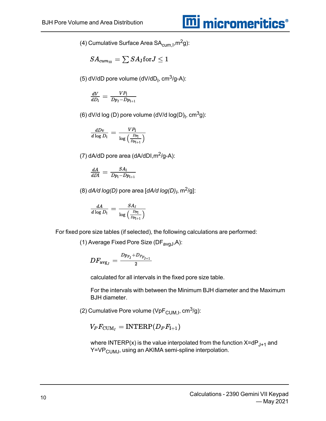### **m** micromeritics<sup>®</sup>

(4) Cumulative Surface Area SA $_{\text{cum},l}$ , m<sup>2</sup>g):

$$
SA_{cum_{10}} = \textstyle\sum SA_{\text{J}} \text{for} J \leq 1
$$

(5) dV/dD pore volume (dV/dD<sub>I</sub>, cm<sup>3</sup>/g-A):

$$
\frac{dV}{dD_{\rm I}}=\frac{V P_{\rm I}}{D p_{\rm I}-D p_{\rm I+1}}
$$

(6) dV/d log (D) pore volume (dV/d log(D)<sub>I</sub>, cm<sup>3</sup>g):

$$
\frac{dDv}{d\log D_{\rm I}}=\frac{V P_{\rm I}}{\log\left(\frac{Dp_{\rm I}}{Dp_{\rm I+1}}\right)}
$$

(7)  $dA/dD$  pore area  $(dA/dD1, m^2/g-A)$ :

$$
\frac{dA}{dD\mathrm{I}}=\frac{SA_{\mathrm{I}}}{Dp_{\mathrm{I}}-Dp_{\mathrm{I}+1}}
$$

(8) *dA/d log(D)* pore area [*dA/d log(D)<sup>I</sup>* , m2/g]:

$$
\frac{dA}{d\log D_{\rm I}}=\frac{S A_{I}}{\log\left(\frac{D p_{\rm I}}{D p_{\rm I+1}}\right)}
$$

For fixed pore size tables (if selected), the following calculations are performed:

(1) Average Fixed Pore Size (DF $_{avgJ}$ ,A):

$$
DF_{\textup{avg}_J}=\frac{Dp_{F_{\textup{J}}}+D_{P_{F_{\textup{J}+1}}}}{2}
$$

calculated for all intervals in the fixed pore size table.

For the intervals with between the Minimum BJH diameter and the Maximum BJH diameter.

(2) Cumulative Pore volume (VpF<sub>CUM, I</sub>, cm<sup>3</sup>/g):

#### $V_P F_{\text{CUM}_I} = \text{INTERP}(D_P F_{I+1})$

where INTERP(x) is the value interpolated from the function  $X=dP_{J+1}$  and Y=VP<sub>CUMJ</sub>, using an AKIMA semi-spline interpolation.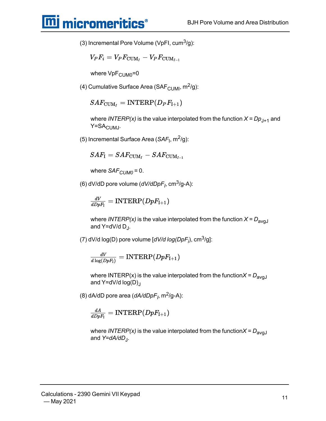### **mi** micromeritics<sup>®</sup>

(3) Incremental Pore Volume (VpFI, cum<sup>3</sup>/g):

$$
V_P F_i = V_P F_{{\rm{CUM}}_I} - V_P F_{{\rm{CUM}}_{I-1}}
$$

where  $VpF_{\text{CUMO}}=0$ 

(4) Cumulative Surface Area (SAF<sub>CUMI</sub>,  $m^2/g$ ):

#### $SAF_{\text{CUM}_I} = \text{INTERP}(D_P F_{I+1})$

where *INTERP(x)* is the value interpolated from the function  $X = Dp_{J+1}$  and Y=SA<sub>CUMJ</sub>.

(5) Incremental Surface Area (*SAF<sub>I</sub>,* m<sup>2</sup>/g):

$$
SAF_{\rm I} = SAF_{{\rm CUM}_I} - SAF_{{\rm CUM}_{I-1}}
$$

where *SAF<sub>CUM0</sub>* = 0.

(6) dV/dD pore volume (*dV/dDpF<sup>I</sup>* , cm3/g-A):

$$
\tfrac{dV}{dDpF_1}=\mathrm{INTERP}(DpF_{\mathrm{I}+1})
$$

where *INTERP(x)* is the value interpolated from the function  $X = D_{\text{avd}}$ and Y=dV/d D<sub>J</sub>.

(7) dV/d log(D) pore volume [*dV/d log(DpF<sup>i</sup>* ), cm3/g]:

$$
\tfrac{dV}{d\log(DpF_{\rm I})}={\rm INTERP}(DpF_{\rm I+1})
$$

where INTERP(x) is the value interpolated from the function $X = D_{\text{avol}}$ and  $Y=dV/d \log(D)$ 

(8) dA/dD pore area (*dA/dDpF<sup>I</sup>* , m2/g-A):

$$
\tfrac{dA}{dDpF_1}=\mathrm{INTERP}(DpF_{\mathrm{I}+1})
$$

where *INTERP(x)* is the value interpolated from the function $X = D_{\text{avd}}$ and *Y=dA/dD*<sup>J</sup> .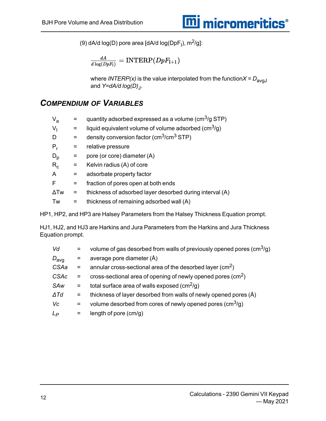

(9) dA/d log(D) pore area [dA/d log(DpF<sub>I</sub>), m<sup>2</sup>/g]:

$$
\tfrac{dA}{d\log(DpF_{\mathrm{I}})}=\mathrm{INTERP}(DpF_{\mathrm{I}+1})
$$

where *INTERP(x)* is the value interpolated from the function $X = D_{\text{avgJ}}$ and *Y=dA/d log(D)*<sup>J</sup> .

#### *COMPENDIUM OF VARIABLES*

| V <sub>a</sub> |     | quantity adsorbed expressed as a volume ( $\text{cm}^3/\text{g}$ STP)  |
|----------------|-----|------------------------------------------------------------------------|
| V,             | $=$ | liquid equivalent volume of volume adsorbed ( $\text{cm}^3/\text{q}$ ) |
| D              | $=$ | density conversion factor ( $\text{cm}^3/\text{cm}^3$ STP)             |
| $P_r$          | $=$ | relative pressure                                                      |
| $D_{\rm p}$    |     | pore (or core) diameter (A)                                            |
| $R_c$          | $=$ | Kelvin radius (A) of core                                              |
| A              | $=$ | adsorbate property factor                                              |
| F              | $=$ | fraction of pores open at both ends                                    |
| $\Delta Tw$    | $=$ | thickness of adsorbed layer desorbed during interval (A)               |
| Tw             | $=$ | thickness of remaining adsorbed wall (A)                               |
|                |     |                                                                        |

HP1, HP2, and HP3 are Halsey Parameters from the Halsey Thickness Equation prompt.

HJ1, HJ2, and HJ3 are Harkins and Jura Parameters from the Harkins and Jura Thickness Equation prompt.

| Vd               |     | volume of gas desorbed from walls of previously opened pores $\text{(cm}^3\text{/q)}$ |
|------------------|-----|---------------------------------------------------------------------------------------|
| $D_{\text{avg}}$ | $=$ | average pore diameter (Å)                                                             |
| CSAa             | $=$ | annular cross-sectional area of the desorbed layer $\rm (cm^2)$                       |
| <b>CSAc</b>      | $=$ | cross-sectional area of opening of newly opened pores $\text{(cm}^2\text{)}$          |
| SAw              | $=$ | total surface area of walls exposed (cm <sup>2</sup> /g)                              |
| $\Delta T d$     | $=$ | thickness of layer desorbed from walls of newly opened pores (Å)                      |
| Vc               | $=$ | volume desorbed from cores of newly opened pores $\rm \left( cm^3/q \right)$          |
| $L_P$            | $=$ | length of pore $(cm/g)$                                                               |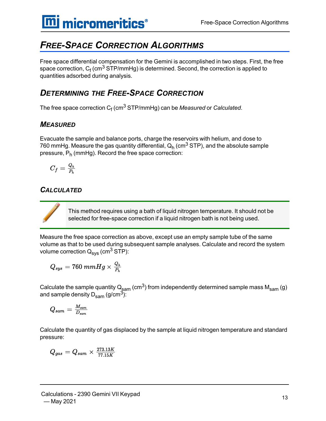#### <span id="page-16-0"></span>*FREE-SPACE CORRECTION ALGORITHMS*

Free space differential compensation for the Gemini is accomplished in two steps. First, the free space correction,  $\mathsf{C}_\mathsf{f}$  (cm $^3$  STP/mmHg) is determined. Second, the correction is applied to quantities adsorbed during analysis.

#### *DETERMINING THE FREE-SPACE CORRECTION*

The free space correction C<sub>f</sub> (cm<sup>3</sup> STP/mmHg) can be *Measured* or *Calculated*.

#### *MEASURED*

Evacuate the sample and balance ports, charge the reservoirs with helium, and dose to 760 mmHg. Measure the gas quantity differential,  ${\sf Q}_{\sf h}$  (cm $^3$  STP), and the absolute sample pressure, P<sub>h</sub> (mmHg). Record the free space correction:

$$
C_f=\tfrac{Q_h}{P_h}
$$

#### *CALCULATED*

This method requires using a bath of liquid nitrogen temperature. It should not be selected for free-space correction if a liquid nitrogen bath is not being used.

Measure the free space correction as above, except use an empty sample tube of the same volume as that to be used during subsequent sample analyses. Calculate and record the system volume correction  $Q_{\text{sys}}$  (cm<sup>3</sup> STP):

$$
Q_{sys}=760\ mmHg\times\tfrac{Q_h}{P_h}
$$

Calculate the sample quantity  $Q_{\text{sam}}$  (cm<sup>3</sup>) from independently determined sample mass  $M_{\text{sam}}(g)$ and sample density  $D_{\text{sam}}$  (g/cm<sup>3</sup>):

$$
Q_{sam} = \frac{M_{sam}}{D_{sam}}
$$

Calculate the quantity of gas displaced by the sample at liquid nitrogen temperature and standard pressure:

$$
Q_{gas}=Q_{sam}\times \tfrac{273.13K}{77.15K}
$$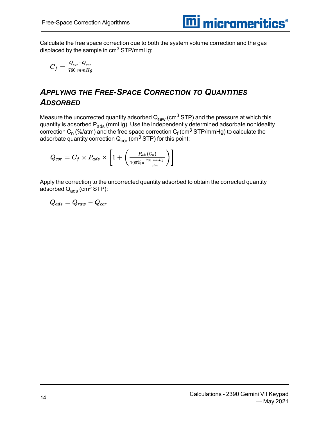

Calculate the free space correction due to both the system volume correction and the gas displaced by the sample in  $\text{cm}^3$  STP/mmHg:

$$
C_f = \frac{Q_{sys} - Q_{gas}}{760 \; mmHg}
$$

#### *APPLYING THE FREE-SPACE CORRECTION TO QUANTITIES ADSORBED*

Measure the uncorrected quantity adsorbed  $\mathsf{Q}_{\mathsf{raw}}$  (cm<sup>3</sup> STP) and the pressure at which this quantity is adsorbed P<sub>ads</sub> (mmHg). Use the independently determined adsorbate nonideality correction C<sub>n</sub> (%/atm) and the free space correction C<sub>f</sub> (cm<sup>3</sup> STP/mmHg) to calculate the adsorbate quantity correction  $Q_{cor}$  (cm<sup>3</sup> STP) for this point:

$$
Q_{cor} = C_f \times P_{ads} \times \left[1 + \left(\frac{P_{ads}(C_n)}{100\% \times \frac{760 \text{ mmHg}}{atm}}\right)\right]
$$

Apply the correction to the uncorrected quantity adsorbed to obtain the corrected quantity adsorbed  $Q_{\text{ads}}$  (cm<sup>3</sup> STP):

 $Q_{ads} = Q_{raw} - Q_{cor}$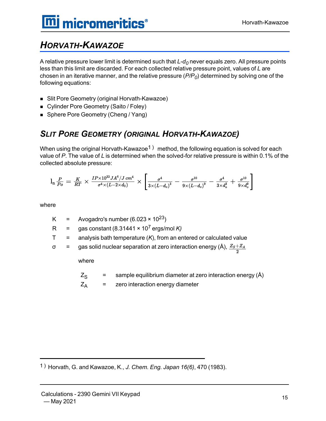#### <span id="page-18-0"></span>*HORVATH-KAWAZOE*

A relative pressure lower limit is determined such that *L-d<sup>0</sup>* never equals zero. All pressure points less than this limit are discarded. For each collected relative pressure point, values of *L* are chosen in an iterative manner, and the relative pressure (*P/P<sup>0</sup>* ) determined by solving one of the following equations:

- Slit Pore Geometry (original Horvath-Kawazoe)
- Cylinder Pore Geometry (Saito / Foley)
- Sphere Pore Geometry (Cheng / Yang)

#### *SLIT PORE GEOMETRY (ORIGINAL HORVATH-KAWAZOE)*

When using the original Horvath-Kawazoe<sup>1</sup>) method, the following equation is solved for each value of *P*. The value of *L* is determined when the solved-for relative pressure is within 0.1% of the collected absolute pressure:

$$
\textstyle \mathrm{l_n \frac{P}{P_o} = \frac{K}{RT} \times \frac{IP \times 10^{32} J A^4/J \, cm^4}{\sigma^4 \times (L - 2 \times d_0)}} \times \left[ \frac{\sigma^4}{3 \times (L - d_o)^3} - \frac{\sigma^{10}}{9 \times (L - d_o)^9} - \frac{\sigma^4}{3 \times d_o^3} + \frac{\sigma^{10}}{9 \times d_o^9} \right]
$$

where

- K = Avogadro's number  $(6.023 \times 10^{23})$
- R = gas constant  $(8.31441 \times 10^7 \text{ ergs/mol K})$
- $T =$  analysis bath temperature  $(K)$ , from an entered or calculated value
- σ = gas solid nuclear separation at zero interaction energy (Å),  $\frac{Z_s + Z_A}{2}$

where

- $Z_{\rm S}$  = sample equilibrium diameter at zero interaction energy (Å)
- $Z_A$  = zero interaction energy diameter

1 ) Horvath, G. and Kawazoe, K., *J. Chem. Eng. Japan 16(6)*, 470 (1983).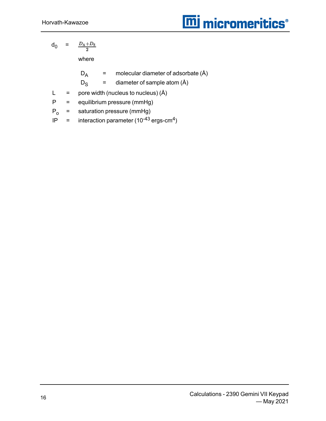$$
\mathsf{d}_0 = \frac{D_{\rm A}+D_{\rm S}}{2}
$$

where

 $D_A$  = molecular diameter of adsorbate  $(A)$ 

 $D_S$  = diameter of sample atom  $(A)$ 

- $L =$  pore width (nucleus to nucleus)  $(A)$
- P = equilibrium pressure (mmHg)
- $P_0$  = saturation pressure (mmHg)
- IP = interaction parameter  $(10^{-43} \text{ ergs-cm}^4)$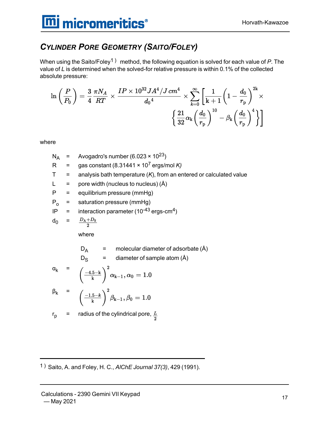#### *CYLINDER PORE GEOMETRY (SAITO/FOLEY)*

When using the Saito/Foley1 ) method, the following equation is solved for each value of *P*. The value of *L* is determined when the solved-for relative pressure is within 0.1% of the collected absolute pressure:

$$
\ln\left(\frac{P}{P_0}\right) = \frac{3}{4}\frac{\pi N_A}{RT} \times \frac{IP \times 10^{32} J A^4/J\,cm^4}{d_0{}^4} \times \sum_{k=0}^\infty\left[\frac{1}{\mathrm{k+1}}\!\left(1-\frac{d_0}{r_{\mathrm{p}}}\right)^{\!2\mathrm{k}}\times \right.\\\left.\left.\left\{\frac{21}{32}\alpha_\mathrm{k}\!\left(\frac{d_0}{r_{\mathrm{p}}}\right)^{10}-\beta_\mathrm{k}\!\left(\frac{d_0}{r_{\mathrm{p}}}\right)^4\right\}\right]
$$

where

$$
N_A = \text{Avogadro's number } (6.023 \times 10^{23})
$$

R = gas constant 
$$
(8.31441 \times 10^7 \text{ ergs/mol K})
$$

- $T =$  analysis bath temperature  $(K)$ , from an entered or calculated value
- $L =$  pore width (nucleus to nucleus)  $(A)$
- $P =$  equilibrium pressure (mmHg)
- $P_0$  = saturation pressure (mmHg)
- IP = interaction parameter (10<sup>-43</sup> ergs-cm<sup>4</sup>)

$$
d_0 = \frac{D_A + D_S}{2}
$$

where

$$
D_A = \text{molecular diameter of adsorbate (A)}
$$

$$
D_S
$$
 = diameter of sample atom (Å)

$$
\alpha_{k} = \left(\frac{-4.5 - k}{k}\right)^{2} \alpha_{k-1}, \alpha_{0} = 1.0
$$
  

$$
\beta_{k} = \left(\frac{-1.5 - k}{k}\right)^{2} \beta_{k-1}, \beta_{0} = 1.0
$$

$$
\begin{pmatrix} k & j^{p} & k^{p-1} & j^{p} & j^{p} \end{pmatrix}
$$

$$
r_p
$$
 = radius of the cylindrical pore,  $\frac{L}{2}$ 

1 ) Saito, A. and Foley, H. C., *AlChE Journal 37(3)*, 429 (1991).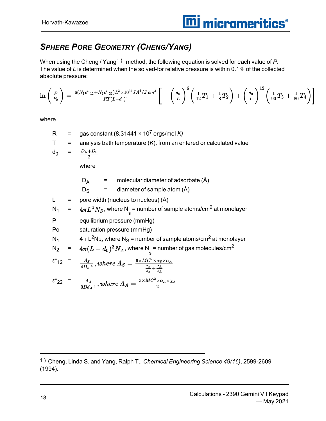#### *SPHERE PORE GEOMETRY (CHENG/YANG)*

When using the Cheng / Yang<sup>1</sup>) method, the following equation is solved for each value of P. The value of *L* is determined when the solved-for relative pressure is within 0.1% of the collected absolute pressure:

$$
\ln\left(\frac{P}{P_0}\right) = \frac{6(N_1\epsilon^*_{12}+N_2\epsilon^*_{22})L^3\times10^{32}JA^4/J\,cm^4}{RT(L-d_0)^3}\bigg[-\left(\frac{d_0}{L}\right)^6\left(\frac{1}{12}T_1+\frac{1}{8}T_2\right)+\left(\frac{d_0}{L}\right)^{12}\left(\frac{1}{90}T_3+\frac{1}{80}T_4\right)\bigg]
$$

where

- R = gas constant  $(8.31441 \times 10^7 \text{ ergs/mol K})$
- $T =$  analysis bath temperature  $(K)$ , from an entered or calculated value

$$
d_0 = \frac{D_A + D_S}{2}
$$

where

 $D_A$  = molecular diameter of adsorbate  $(\hat{A})$ 

 $D_S$  = diameter of sample atom (Å)

 $L =$  pore width (nucleus to nucleus)  $(A)$ 

$$
N_1 = 4\pi L^2 N_S
$$
, where N<sub>s</sub> = number of sample atoms/cm<sup>2</sup> at monolayer

- P equilibrium pressure (mmHg)
- Po saturation pressure (mmHg)
- N<sub>1</sub> 4π L<sup>2</sup>N<sub>S</sub>, where N<sub>S</sub> = number of sample atoms/cm<sup>2</sup> at monolayer

$$
N_2 = 4\pi (L - d_0)^2 N_A
$$
, where N<sub>s</sub> = number of gas molecules/cm<sup>2</sup>

$$
\varepsilon^*_{12} = \frac{A_S}{4D_S^6}, where A_S = \frac{6 \times MC^2 \times \alpha_S \times \alpha_A}{\frac{\alpha_S}{\chi_S} + \frac{\alpha_A}{\chi_A}}
$$

$$
\varepsilon^*_{22} = \frac{A_A}{0Dd_A \varepsilon}, where A_A = \frac{3 \times MC^2 \times \alpha_A \times \chi_A}{2}
$$

<sup>1</sup> ) Cheng, Linda S. and Yang, Ralph T., *Chemical Engineering Science 49(16)*, 2599-2609 (1994).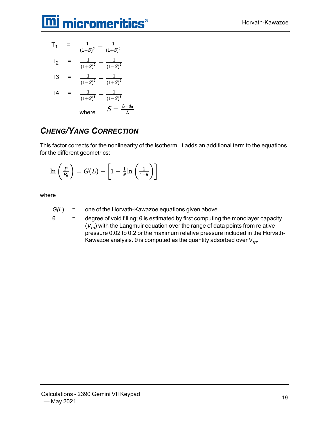## **m**j micromeritics<sup>®</sup>

$$
T_1 = \frac{1}{(1-S)^3} - \frac{1}{(1+S)^3}
$$
  
\n
$$
T_2 = \frac{1}{(1+S)^2} - \frac{1}{(1-S)^2}
$$
  
\n
$$
T_3 = \frac{1}{(1-S)^9} - \frac{1}{(1+S)^9}
$$
  
\n
$$
T_4 = \frac{1}{(1+S)^8} - \frac{1}{(1-S)^8}
$$
  
\nwhere 
$$
S = \frac{L-d_0}{L}
$$

#### *CHENG/YANG CORRECTION*

This factor corrects for the nonlinearity of the isotherm. It adds an additional term to the equations for the different geometrics:

$$
\ln\left(\frac{P}{P_0}\right)=G(L)-\left[1-\frac{1}{\theta}\ln\left(\frac{1}{1-\theta}\right)\right]
$$

where

- *G(L*) = one of the Horvath-Kawazoe equations given above
- $\theta$  = degree of void filling;  $\theta$  is estimated by first computing the monolayer capacity (*Vm*) with the Langmuir equation over the range of data points from relative pressure 0.02 to 0.2 or the maximum relative pressure included in the Horvath-Kawazoe analysis. θ is computed as the quantity adsorbed over V*m*.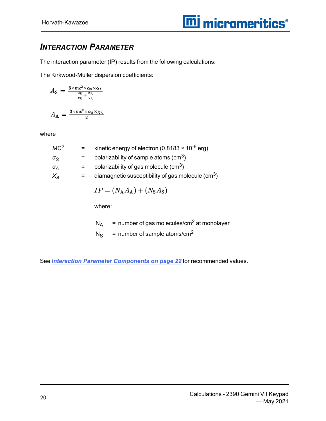#### *INTERACTION PARAMETER*

The interaction parameter (IP) results from the following calculations:

The Kirkwood-Muller dispersion coefficients:

$$
A_{\rm S} = \frac{6 \times mc^2 \times \alpha_{\rm S} \times \alpha_{\rm A}}{\frac{\alpha_{\rm S}}{x_{\rm S}} + \frac{\alpha_{\rm A}}{x_{\rm A}}}
$$

$$
A_{\rm A} = \frac{3 \times mc^2 \times \alpha_{\rm A} \times \chi_{\rm A}}{2}
$$

where

| MC <sup>2</sup>  |     | kinetic energy of electron (0.8183 $\times$ 10 <sup>-6</sup> erg) |
|------------------|-----|-------------------------------------------------------------------|
| $\alpha_{\rm S}$ |     | polarizability of sample atoms (cm <sup>3</sup> )                 |
| $\alpha_A$       |     | polarizability of gas molecule (cm <sup>3</sup> )                 |
| $X_{\Delta}$     | $=$ | diamagnetic susceptibility of gas molecule $\rm (cm^3)$           |

$$
IP = (N_{\rm A}A_{\rm A}) + (N_{\rm S}A_{\rm S})
$$

where:

 $N_A$  = number of gas molecules/cm<sup>2</sup> at monolayer

 $N_S$  = number of sample atoms/cm<sup>2</sup>

See *Interaction Parameter [Components](#page-25-0) on page 22* for recommended values.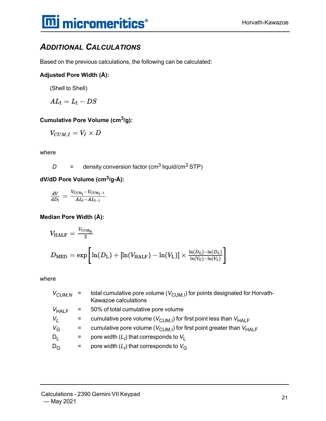#### *ADDITIONAL CALCULATIONS*

Based on the previous calculations, the following can be calculated:

#### **Adjusted Pore Width (Å):**

(Shell to Shell)

 $AL_I = L_I - DS$ 

#### **Cumulative Pore Volume (cm3/g):**

$$
V_{CUM,I}=V_I\times D
$$

where

 $D =$  density conversion factor (cm<sup>3</sup> liquid/cm<sup>3</sup> STP)

**dV/dD Pore Volume (cm3/g-Å):**

$$
\frac{dV}{dD_{\rm I}}=\frac{V_{\rm{CUM}_{\rm I}}-V_{\rm{CUM}_{\rm I}-1}}{AL_{\rm I}-AL_{\rm I-1}}
$$

**Median Pore Width (Å):**

$$
V_{\rm HALF} = \frac{V_{\rm CUM_N}}{2}
$$
\n
$$
D_{\rm MED} = \exp\left[\ln(D_{\rm L}) + \left[\ln(V_{\rm HALF}) - \ln(V_{\rm L})\right] \times \frac{\ln(D_{\rm G}) - \ln(D_{\rm L})}{\ln(V_{\rm G}) - \ln(V_{\rm L})}\right]
$$

where

| $V_{\text{\scriptsize{CUM,N}}}$ | $=$                       | total cumulative pore volume ( $V_{\text{CUM,I}}$ ) for points designated for Horvath-<br>Kawazoe calculations |
|---------------------------------|---------------------------|----------------------------------------------------------------------------------------------------------------|
| $V_{HALF}$                      | $\mathbf{r} = \mathbf{r}$ | 50% of total cumulative pore volume                                                                            |
| $V_I$                           | $=$                       | cumulative pore volume ( $V_{\text{CUM,I}}$ ) for first point less than $V_{\text{HALF}}$                      |
| $V_G$                           | $=$                       | cumulative pore volume ( $V_{\text{CUM,I}}$ ) for first point greater than $V_{\text{HALF}}$                   |
| $D_1$                           | Ξ.                        | pore width $(L1)$ that corresponds to $V1$                                                                     |
| $D_{G}$                         | $=$ $-$                   | pore width $(L1)$ that corresponds to $VG$                                                                     |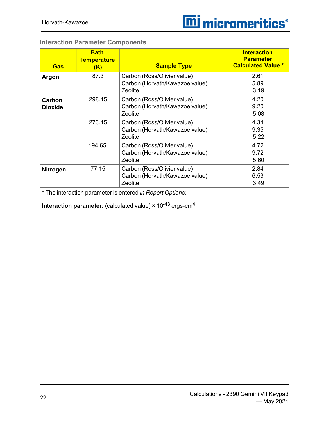<span id="page-25-0"></span>

| Gas                                                       | <b>Bath</b><br><b>Temperature</b><br>(K) | <b>Sample Type</b>                                                                               | <b>Interaction</b><br><b>Parameter</b><br><b>Calculated Value *</b> |  |  |
|-----------------------------------------------------------|------------------------------------------|--------------------------------------------------------------------------------------------------|---------------------------------------------------------------------|--|--|
| Argon                                                     | 87.3                                     | Carbon (Ross/Olivier value)<br>Carbon (Horvath/Kawazoe value)<br>Zeolite                         | 2.61<br>5.89<br>3.19                                                |  |  |
| Carbon<br><b>Dioxide</b>                                  | 298.15                                   | Carbon (Ross/Olivier value)<br>Carbon (Horvath/Kawazoe value)<br>Zeolite                         | 4.20<br>9.20<br>5.08                                                |  |  |
|                                                           | 273.15                                   | Carbon (Ross/Olivier value)<br>Carbon (Horvath/Kawazoe value)<br>Zeolite                         | 4.34<br>9.35<br>5.22                                                |  |  |
|                                                           | 194.65                                   | Carbon (Ross/Olivier value)<br>Carbon (Horvath/Kawazoe value)<br>Zeolite                         | 4.72<br>9.72<br>5.60                                                |  |  |
| <b>Nitrogen</b>                                           | 77.15                                    | Carbon (Ross/Olivier value)<br>Carbon (Horvath/Kawazoe value)<br>Zeolite                         | 2.84<br>6.53<br>3.49                                                |  |  |
| * The interaction parameter is entered in Report Options: |                                          |                                                                                                  |                                                                     |  |  |
|                                                           |                                          | <b>Interaction parameter:</b> (calculated value) $\times$ 10 <sup>-43</sup> ergs-cm <sup>4</sup> |                                                                     |  |  |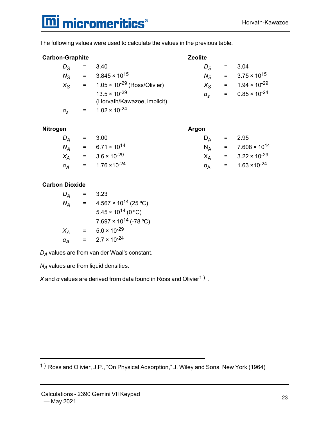### **m**j micromeritics<sup>®</sup>

The following values were used to calculate the values in the previous table.

#### **Carbon-Graphite Zeolite**

| $D_{\rm S}$      | $=$ $-$ | 3.40                                                  | $D_{\mathcal{S}}$ | $=$ 3.04 |                                     |
|------------------|---------|-------------------------------------------------------|-------------------|----------|-------------------------------------|
| $N_{\rm S}$      |         | $3.845 \times 10^{15}$                                | $N_{\rm S}$       |          | $= 3.75 \times 10^{15}$             |
| $X_{\rm S}$      |         | $=$ 1.05 $\times$ 10 <sup>-29</sup> (Ross/Olivier)    | $X_{S}$           |          | $= 1.94 \times 10^{-29}$            |
|                  |         | $13.5 \times 10^{-29}$<br>(Horvath/Kawazoe, implicit) | $\alpha_{\rm e}$  |          | $=$ 0.85 $\times$ 10 <sup>-24</sup> |
| $\alpha_{\rm s}$ |         | $1.02 \times 10^{-24}$                                |                   |          |                                     |

#### **Nitrogen Argon**

| Dд | $= 3.00$                        | $D_{\Delta}$ | $= 2.95$                                   |
|----|---------------------------------|--------------|--------------------------------------------|
| NΔ | $= 6.71 \times 10^{14}$         |              | $N_A$ = 7.608 × 10 <sup>14</sup>           |
|    | $X_A$ = 3.6 × 10 <sup>-29</sup> | $X_{\Delta}$ | $= 3.22 \times 10^{-29}$                   |
| aΔ | $= 1.76 \times 10^{-24}$        |              | $\alpha_{\rm A}$ = 1.63 ×10 <sup>-24</sup> |

#### **Carbon Dioxide**

| $D_A$ |   | 3.23                            |
|-------|---|---------------------------------|
| $N_A$ | = | $4.567 \times 10^{14}$ (25 °C)  |
|       |   | $5.45 \times 10^{14}$ (0 °C)    |
|       |   | $7.697 \times 10^{14}$ (-78 °C) |
| $X_A$ | = | $5.0 \times 10^{-29}$           |
| αĀ    | = | $2.7 \times 10^{-24}$           |

*D<sup>A</sup>* values are from van der Waal's constant.

*N<sup>A</sup>* values are from liquid densities.

 $X$  and  $\alpha$  values are derived from data found in Ross and Olivier<sup>1)</sup>.

1 ) Ross and Olivier, J.P., "On Physical Adsorption," J. Wiley and Sons, New York (1964)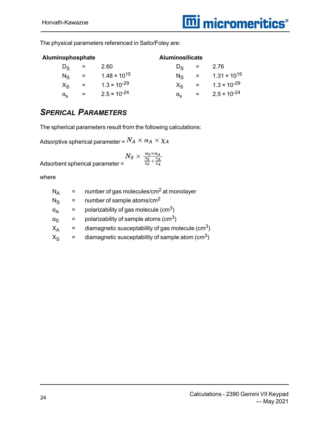The physical parameters referenced in Saito/Foley are:

| Aluminophosphate |     |                       | <b>Aluminosilicate</b> |     |                       |
|------------------|-----|-----------------------|------------------------|-----|-----------------------|
| Dς               |     | 2.60                  | De.                    | =   | 2.76                  |
| $N_{\rm S}$      | $=$ | $1.48 \times 10^{15}$ | Ne.                    | $=$ | $1.31 \times 10^{15}$ |
| Χs               | $=$ | $1.3 \times 10^{-29}$ | $X_{S}$                |     | $1.3 \times 10^{-29}$ |
| α.               |     | $2.5 \times 10^{-24}$ | $\alpha_{\rm c}$       |     | $2.5 \times 10^{-24}$ |

#### *SPERICAL PARAMETERS*

The spherical parameters result from the following calculations:

Adsorptive spherical parameter =  $N_A \times \alpha_A \times \chi_A$ 

Adsorbent spherical parameter =

where

| number of gas molecules/cm <sup>2</sup> at monolayer             |
|------------------------------------------------------------------|
| number of sample atoms/cm <sup>2</sup>                           |
| polarizability of gas molecule $\rm (cm^3)$                      |
| polarizability of sample atoms $\text{(cm}^3\text{)}$            |
| diamagnetic susceptability of gas molecule $\rm (cm^3)$          |
| diamagnetic susceptability of sample atom $\text{(cm}^3\text{)}$ |
|                                                                  |

<sup>24</sup> Calculations - <sup>2390</sup> Gemini VII Keypad — May 2021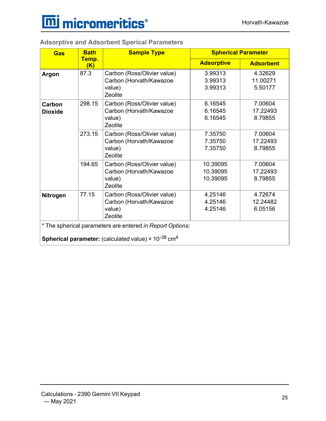

| <b>Gas</b>               | <b>Bath</b><br>Temp.<br>(K) | <b>Sample Type</b>                                                                                                                                     | <b>Spherical Parameter</b>       |                                |
|--------------------------|-----------------------------|--------------------------------------------------------------------------------------------------------------------------------------------------------|----------------------------------|--------------------------------|
|                          |                             |                                                                                                                                                        | <b>Adsorptive</b>                | <b>Adsorbent</b>               |
| Argon                    | 87.3                        | Carbon (Ross/Olivier value)<br>Carbon (Horvath/Kawazoe<br>value)<br>Zeolite                                                                            | 3.99313<br>3.99313<br>3.99313    | 4.32629<br>11.00271<br>5.50177 |
| Carbon<br><b>Dioxide</b> | 298.15                      | Carbon (Ross/Olivier value)<br>Carbon (Horvath/Kawazoe<br>value)<br>Zeolite                                                                            | 6.16545<br>6.16545<br>6.16545    | 7.00604<br>17.22493<br>8.79855 |
|                          | 273.15                      | Carbon (Ross/Olivier value)<br>Carbon (Horvath/Kawazoe<br>value)<br>Zeolite                                                                            | 7.35750<br>7.35750<br>7.35750    | 7.00604<br>17.22493<br>8.79855 |
|                          | 194.65                      | Carbon (Ross/Olivier value)<br>Carbon (Horvath/Kawazoe<br>value)<br>Zeolite                                                                            | 10.39095<br>10.39095<br>10.39095 | 7.00604<br>17.22493<br>8.79855 |
| <b>Nitrogen</b>          | 77.15                       | Carbon (Ross/Olivier value)<br>Carbon (Horvath/Kawazoe<br>value)<br>Zeolite                                                                            | 4.25146<br>4.25146<br>4.25146    | 4.72674<br>12.24482<br>6.05156 |
|                          |                             | * The spherical parameters are entered in Report Options:<br><b>Spherical parameter:</b> (calculated value) $\times$ 10 <sup>-38</sup> cm <sup>4</sup> |                                  |                                |

**Adsorptive and Adsorbent Sperical Parameters**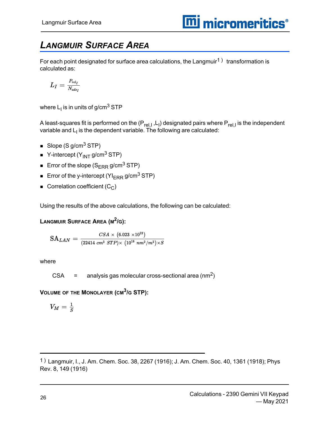### <span id="page-29-0"></span>*LANGMUIR SURFACE AREA*

For each point designated for surface area calculations, the Langmuir $^\mathrm{1)}\,$  transformation is calculated as:

$$
L_I = \tfrac{P_{rel_I}}{N_{ads_I}}
$$

where  $\mathsf{L}_\mathsf{I}$  is in units of g/cm $^3$  STP

A least-squares fit is performed on the (P<sub>rel,I</sub> ,L<sub>I</sub>) designated pairs where P<sub>rel,I</sub> is the independent variable and  $\mathsf{L}_\mathsf{I}$  is the dependent variable. The following are calculated:

- Slope (S g/cm<sup>3</sup> STP)
- $\blacksquare$  Y-intercept (Y<sub>INT</sub> g/cm<sup>3</sup> STP)
- Error of the slope  $(S_{\text{ERR}} g/cm^3$  STP)
- **Error of the y-intercept (YI<sub>ERR</sub> g/cm<sup>3</sup> STP)**
- $\blacksquare$  Correlation coefficient (C<sub>C</sub>)

Using the results of the above calculations, the following can be calculated:

**LANGMUIR SURFACE AREA (M 2 /G):**

$$
\text{SA}_{LAN} = \frac{CSA \times (6.023 \times 10^{23})}{(22414 \text{ cm}^3 \text{ }STP) \times (10^{18} \text{ nm}^2/\text{m}^2) \times S}
$$

where

 $CSA =$  analysis gas molecular cross-sectional area (nm<sup>2</sup>)

**VOLUME OF THE MONOLAYER (CM<sup>3</sup> /G STP):**

$$
V_M = \frac{1}{S}
$$

<sup>1</sup> ) Langmuir, I., J. Am. Chem. Soc. 38, 2267 (1916); J. Am. Chem. Soc. 40, 1361 (1918); Phys Rev. 8, 149 (1916)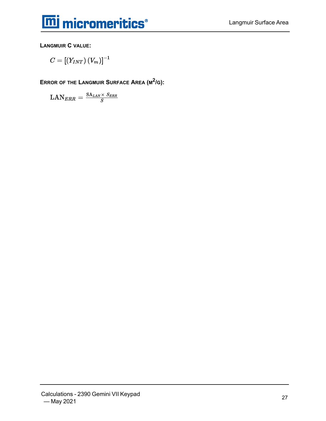

**LANGMUIR C VALUE:**

$$
C=\left[ \left( Y_{INT}\right) \left( V_{m}\right) \right] ^{-1}
$$

**ERROR OF THE LANGMUIR SURFACE AREA (M 2 /G):**

$$
\text{LAN}_{ERR} = \tfrac{\text{SA}_{LAN} \times S_{ERR}}{S}
$$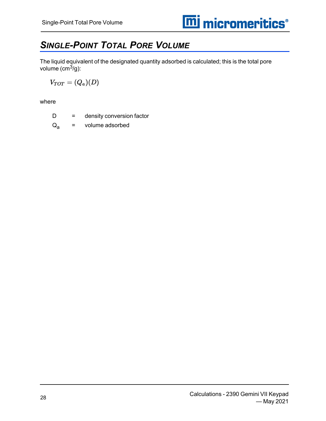### <span id="page-31-0"></span>*SINGLE-POINT TOTAL PORE VOLUME*

The liquid equivalent of the designated quantity adsorbed is calculated; this is the total pore volume  $\text{(cm}^3\text{/g)}$ :

$$
V_{TOT} = (Q_a)(D)
$$

where

D = density conversion factor

 $Q_{a}$  = volume adsorbed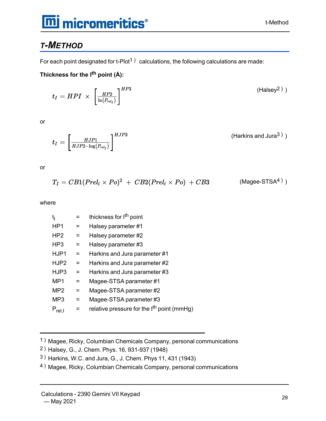### **mi micromeritics**®

#### <span id="page-32-0"></span>*T-METHOD*

For each point designated for t-Plot<sup>1</sup>) calculations, the following calculations are made:

**Thickness for the I th point (Å):**

$$
t_I = HPI \times \left[\frac{HP2}{\ln(P_{rel_I})}\right]^{HP3} \tag{Halsey2}
$$

or

(Harkins and Jura<sup>3</sup>)) HJP3  $t_I = \left\lceil \frac{HJP1}{HJP2 - \log(P_{rel_I})} \right\rceil^2$ 

or

$$
T_I = CB1(Prel_l \times Po)^2 + CB2(Prel_l \times Po) + CB3
$$
 (Mage-STSA<sup>4</sup>)

where

| t <sub>i</sub>  |     | thickness for I <sup>th</sup> point                    |
|-----------------|-----|--------------------------------------------------------|
| HP <sub>1</sub> | $=$ | Halsey parameter #1                                    |
| HP <sub>2</sub> | $=$ | Halsey parameter #2                                    |
| HP3             | =   | Halsey parameter #3                                    |
| HJP1            | $=$ | Harkins and Jura parameter #1                          |
| HJP2            | =   | Harkins and Jura parameter #2                          |
| HJP3            | $=$ | Harkins and Jura parameter #3                          |
| MP1             | $=$ | Magee-STSA parameter #1                                |
| MP <sub>2</sub> | $=$ | Magee-STSA parameter #2                                |
| MP <sub>3</sub> | $=$ | Magee-STSA parameter #3                                |
| $P_{rel,I}$     |     | relative pressure for the I <sup>th</sup> point (mmHg) |
|                 |     |                                                        |

- 1 ) Magee, Ricky, Columbian Chemicals Company, personal communications
- 2 ) Halsey, G., J. Chem. Phys. 16, 931-937 (1948)
- 3 ) Harkins, W.C. and Jura, G., J. Chem. Phys 11, 431 (1943)
- 4 ) Magee, Ricky, Columbian Chemicals Company, personal communications